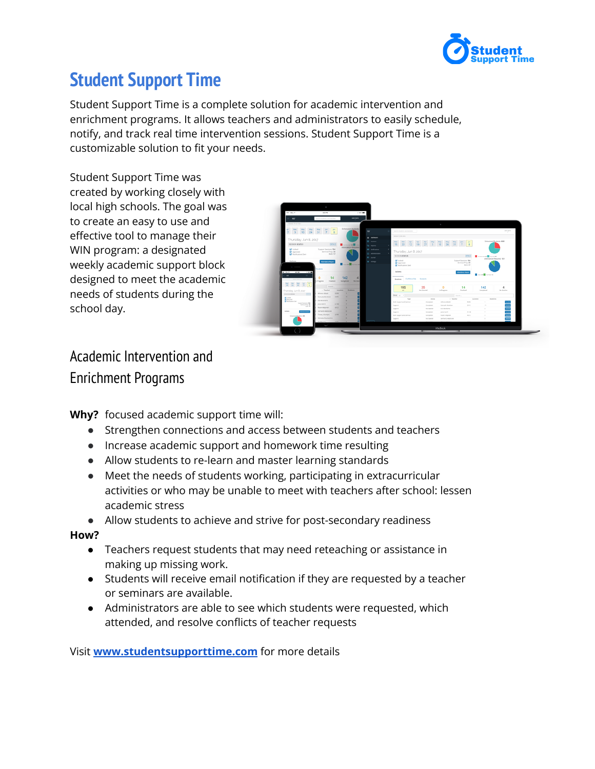

## **Student Support Time**

Student Support Time is a complete solution for academic intervention and enrichment programs. It allows teachers and administrators to easily schedule, notify, and track real time intervention sessions. Student Support Time is a customizable solution to fit your needs.

Student Support Time was created by working closely with local high schools. The goal was to create an easy to use and effective tool to manage their WIN program: a designated weekly academic support block designed to meet the academic needs of students during the school day.



### Academic Intervention and Enrichment Programs

**Why?** focused academic support time will:

- Strengthen connections and access between students and teachers
- Increase academic support and homework time resulting
- Allow students to re-learn and master learning standards
- Meet the needs of students working, participating in extracurricular activities or who may be unable to meet with teachers after school: lessen academic stress

● Allow students to achieve and strive for post-secondary readiness

#### **How?**

- Teachers request students that may need reteaching or assistance in making up missing work.
- Students will receive email notification if they are requested by a teacher or seminars are available.
- Administrators are able to see which students were requested, which attended, and resolve conflicts of teacher requests

Visit **[www.studentsupporttime.com](http://www.studentsupporttime.com)** for more details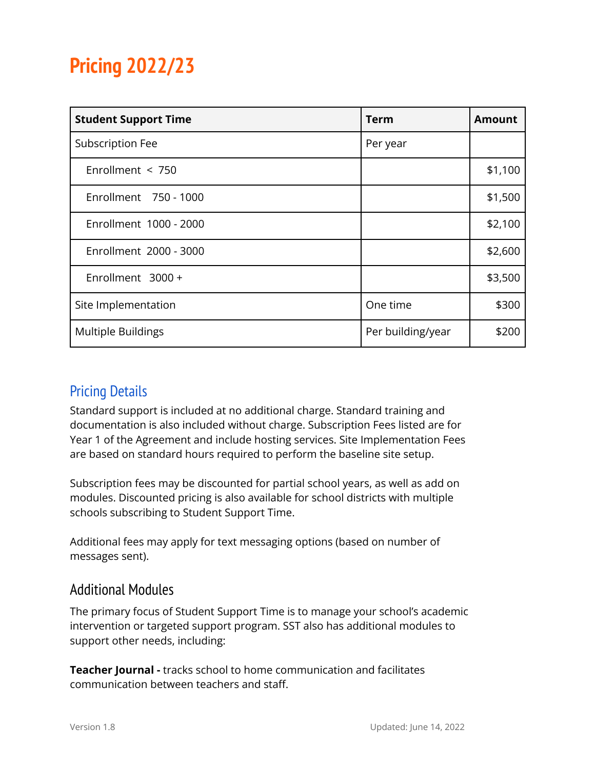# **Pricing 2022/23**

| <b>Student Support Time</b> | Term              | <b>Amount</b> |
|-----------------------------|-------------------|---------------|
| Subscription Fee            | Per year          |               |
| Enrollment $<$ 750          |                   | \$1,100       |
| Enrollment 750 - 1000       |                   | \$1,500       |
| Enrollment 1000 - 2000      |                   | \$2,100       |
| Enrollment 2000 - 3000      |                   | \$2,600       |
| Enrollment 3000 +           |                   | \$3,500       |
| Site Implementation         | One time          | \$300         |
| <b>Multiple Buildings</b>   | Per building/year | \$200         |

### Pricing Details

Standard support is included at no additional charge. Standard training and documentation is also included without charge. Subscription Fees listed are for Year 1 of the Agreement and include hosting services. Site Implementation Fees are based on standard hours required to perform the baseline site setup.

Subscription fees may be discounted for partial school years, as well as add on modules. Discounted pricing is also available for school districts with multiple schools subscribing to Student Support Time.

Additional fees may apply for text messaging options (based on number of messages sent).

### Additional Modules

The primary focus of Student Support Time is to manage your school's academic intervention or targeted support program. SST also has additional modules to support other needs, including:

**Teacher Journal -** tracks school to home communication and facilitates communication between teachers and staff.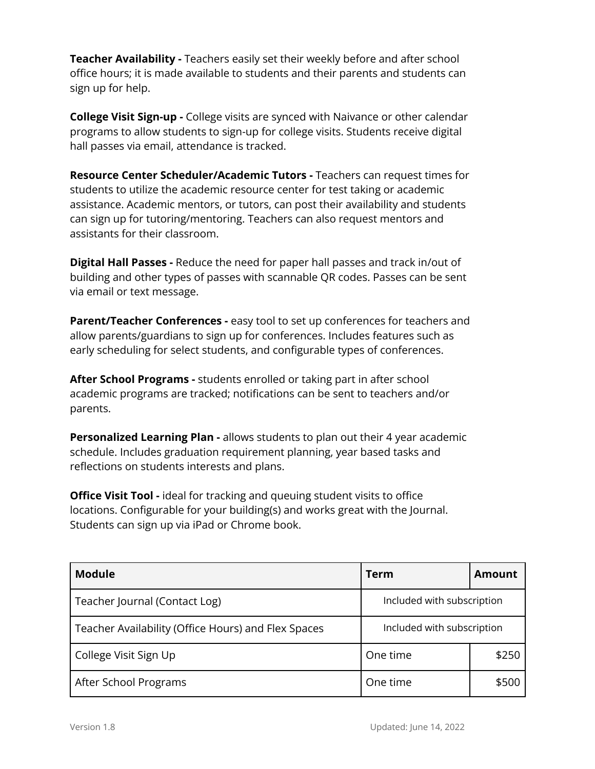**Teacher Availability -** Teachers easily set their weekly before and after school office hours; it is made available to students and their parents and students can sign up for help.

**College Visit Sign-up -** College visits are synced with Naivance or other calendar programs to allow students to sign-up for college visits. Students receive digital hall passes via email, attendance is tracked.

**Resource Center Scheduler/Academic Tutors -** Teachers can request times for students to utilize the academic resource center for test taking or academic assistance. Academic mentors, or tutors, can post their availability and students can sign up for tutoring/mentoring. Teachers can also request mentors and assistants for their classroom.

**Digital Hall Passes -** Reduce the need for paper hall passes and track in/out of building and other types of passes with scannable QR codes. Passes can be sent via email or text message.

**Parent/Teacher Conferences -** easy tool to set up conferences for teachers and allow parents/guardians to sign up for conferences. Includes features such as early scheduling for select students, and configurable types of conferences.

**After School Programs -** students enrolled or taking part in after school academic programs are tracked; notifications can be sent to teachers and/or parents.

**Personalized Learning Plan -** allows students to plan out their 4 year academic schedule. Includes graduation requirement planning, year based tasks and reflections on students interests and plans.

**Office Visit Tool -** ideal for tracking and queuing student visits to office locations. Configurable for your building(s) and works great with the Journal. Students can sign up via iPad or Chrome book.

| <b>Module</b>                                       | Term                       | Amount |
|-----------------------------------------------------|----------------------------|--------|
| Teacher Journal (Contact Log)                       | Included with subscription |        |
| Teacher Availability (Office Hours) and Flex Spaces | Included with subscription |        |
| College Visit Sign Up                               | One time                   | \$250  |
| After School Programs                               | One time                   | \$500  |